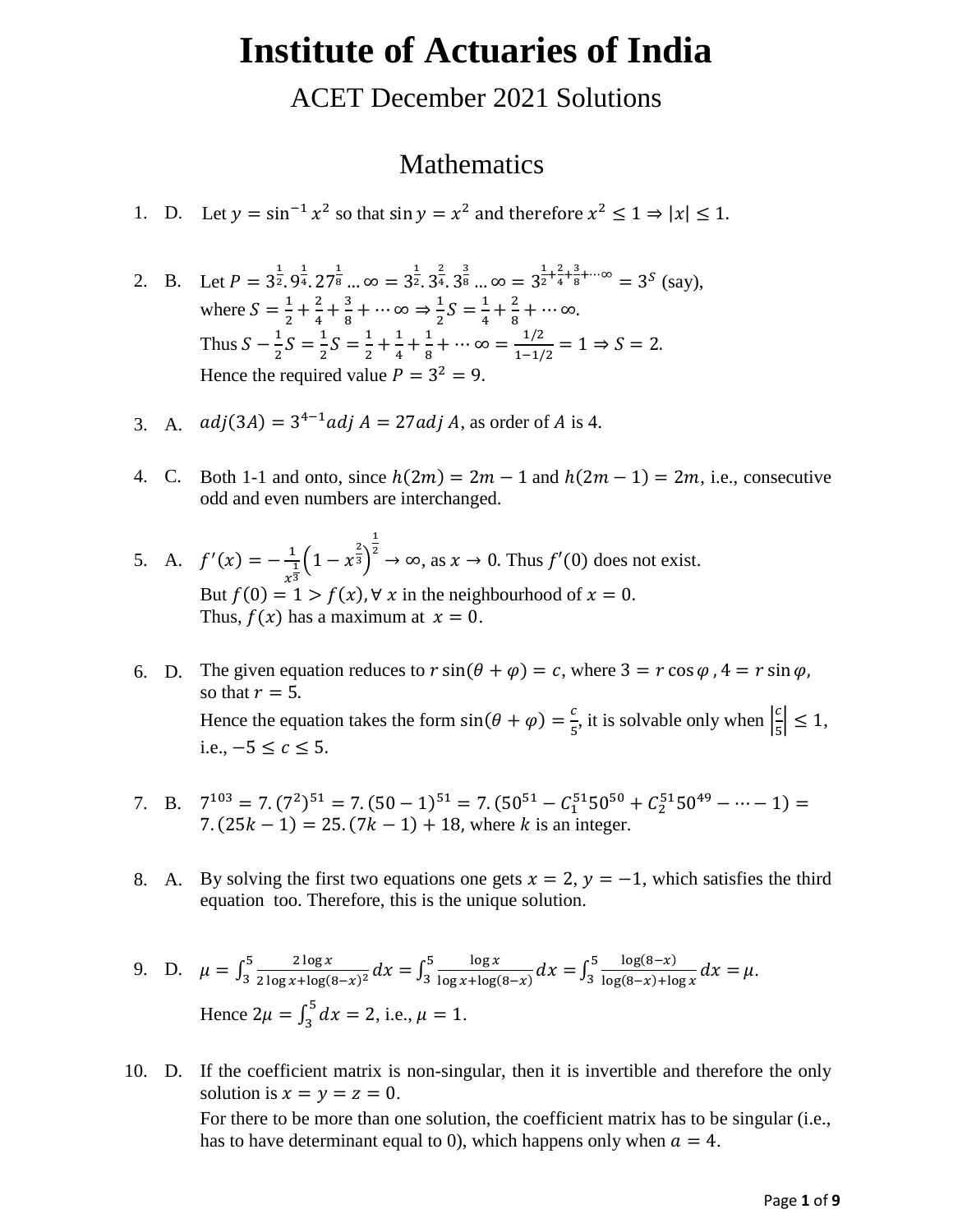# **Institute of Actuaries of India**

ACET December 2021 Solutions

#### Mathematics

- 1. D. Let  $y = \sin^{-1} x^2$  so that  $\sin y = x^2$  and therefore  $x^2 \le 1 \Rightarrow |x| \le 1$ .
- 2. B. Let  $P = 3^{\frac{1}{2}}.9^{\frac{1}{4}}.27^{\frac{1}{8}}.3^{\infty} = 3^{\frac{1}{2}}.3^{\frac{2}{4}}.3^{\frac{3}{8}}.3^{\infty} = 3^{\frac{1}{2}}$  $\frac{1}{2} + \frac{2}{4}$  $\frac{2}{4} + \frac{3}{8}$  $\frac{3}{8} + \cdots \infty = 3^S$  (say), where  $S = \frac{1}{2}$  $\frac{1}{2} + \frac{2}{4}$  $\frac{2}{4} + \frac{3}{8}$  $\frac{3}{8} + \cdots \infty \Rightarrow \frac{1}{2}$  $\frac{1}{2}S = \frac{1}{4}$  $\frac{1}{4} + \frac{2}{8}$  $\frac{2}{8} + \cdots \infty$ . Thus  $S-\frac{1}{2}$  $\frac{1}{2}S = \frac{1}{2}$  $\frac{1}{2}S = \frac{1}{2}$  $\frac{1}{2} + \frac{1}{4}$  $\frac{1}{4} + \frac{1}{8}$  $\frac{1}{8} + \cdots \infty = \frac{1/2}{1-1/2}$  $\frac{1/2}{1-1/2} = 1 \Rightarrow S = 2.$ Hence the required value  $P = 3^2 = 9$ .
- 3. A.  $adj(3A) = 3^{4-1} adj A = 27 adj A$ , as order of A is 4.
- 4. C. Both 1-1 and onto, since  $h(2m) = 2m 1$  and  $h(2m 1) = 2m$ , i.e., consecutive odd and even numbers are interchanged.
- 5. A.  $f'(x) = -\frac{1}{x^2}$  $\frac{1}{x^3}$  $(1-x^{\frac{2}{3}})$ 1  $z^2 \to \infty$ , as  $x \to 0$ . Thus  $f'(0)$  does not exist. But  $f(0) = 1 > f(x)$ ,  $\forall x$  in the neighbourhood of  $x = 0$ . Thus,  $f(x)$  has a maximum at  $x = 0$ .
- 6. D. The given equation reduces to  $r \sin(\theta + \varphi) = c$ , where  $3 = r \cos \varphi$ ,  $4 = r \sin \varphi$ , so that  $r = 5$ . Hence the equation takes the form  $sin(\theta + \varphi) = \frac{c}{\pi}$  $\frac{c}{5}$ , it is solvable only when  $\left|\frac{c}{5}\right|$  $\frac{2}{5} \leq 1$ , i.e.,  $-5 < c < 5$ .
- 7. B.  $7^{103} = 7 \cdot (7^2)^{51} = 7 \cdot (50 1)^{51} = 7 \cdot (50^{51} C_1^{51} 50^{50} + C_2^{51} 50^{49} \dots 1) =$ 7.  $(25k - 1) = 25. (7k - 1) + 18$ , where k is an integer.
- 8. A. By solving the first two equations one gets  $x = 2$ ,  $y = -1$ , which satisfies the third equation too. Therefore, this is the unique solution.

9. D. 
$$
\mu = \int_3^5 \frac{2 \log x}{2 \log x + \log(8 - x)^2} dx = \int_3^5 \frac{\log x}{\log x + \log(8 - x)} dx = \int_3^5 \frac{\log(8 - x)}{\log(8 - x) + \log x} dx = \mu.
$$
  
\nHence  $2\mu = \int_3^5 dx = 2$ , i.e.,  $\mu = 1$ .

10. D. If the coefficient matrix is non-singular, then it is invertible and therefore the only solution is  $x = y = z = 0$ . For there to be more than one solution, the coefficient matrix has to be singular (i.e., has to have determinant equal to 0), which happens only when  $a = 4$ .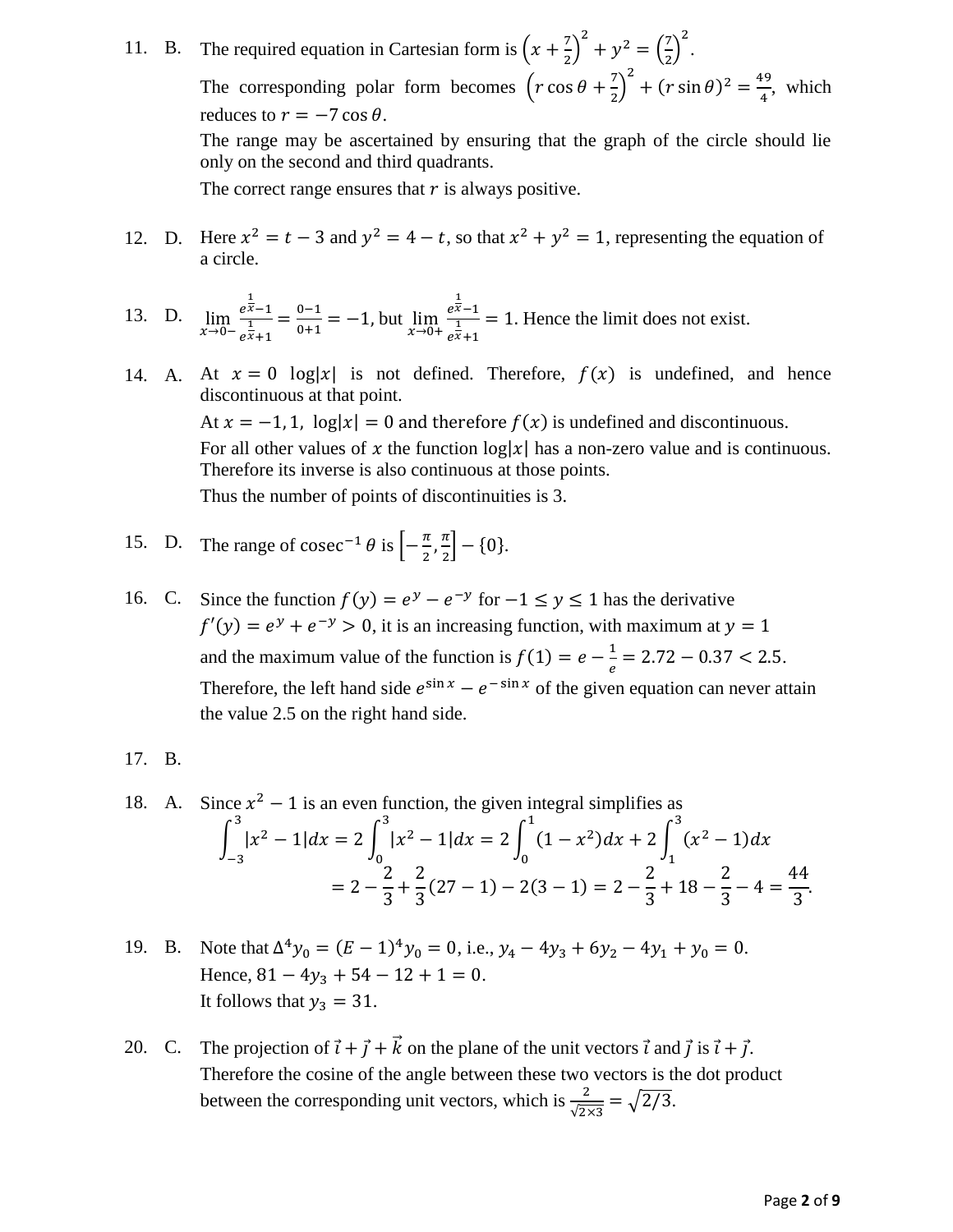11. B. The required equation in Cartesian form is  $\left(x + \frac{7}{2}\right)$  $\left(\frac{7}{2}\right)^2 + y^2 = \left(\frac{7}{2}\right)^2$  $\left(\frac{7}{2}\right)^2$ . The corresponding polar form becomes  $\left(r \cos \theta + \frac{7}{3}\right)$  $\left(\frac{7}{2}\right)^2 + (r \sin \theta)^2 = \frac{49}{4}$  $\frac{1}{4}$ , which reduces to  $r = -7 \cos \theta$ . The range may be ascertained by ensuring that the graph of the circle should lie

only on the second and third quadrants.

The correct range ensures that  $r$  is always positive.

12. D. Here  $x^2 = t - 3$  and  $y^2 = 4 - t$ , so that  $x^2 + y^2 = 1$ , representing the equation of a circle.

13. D. 
$$
\lim_{x \to 0^-} \frac{e^{\frac{1}{x}-1}}{e^{\frac{1}{x}+1}} = \frac{0-1}{0+1} = -1, \text{ but } \lim_{x \to 0^+} \frac{e^{\frac{1}{x}-1}}{e^{\frac{1}{x}+1}} = 1. \text{ Hence the limit does not exist.}
$$

14. A. At  $x = 0$  log|x| is not defined. Therefore,  $f(x)$  is undefined, and hence discontinuous at that point. At  $x = -1, 1$ ,  $\log|x| = 0$  and therefore  $f(x)$  is undefined and discontinuous. For all other values of x the function  $log|x|$  has a non-zero value and is continuous. Therefore its inverse is also continuous at those points. Thus the number of points of discontinuities is 3.

15. D. The range of 
$$
\csc^{-1} \theta
$$
 is  $\left[-\frac{\pi}{2}, \frac{\pi}{2}\right] - \{0\}.$ 

16. C. Since the function  $f(y) = e^y - e^{-y}$  for  $-1 \le y \le 1$  has the derivative  $f'(y) = e^y + e^{-y} > 0$ , it is an increasing function, with maximum at  $y = 1$ and the maximum value of the function is  $f(1) = e - \frac{1}{a}$  $\frac{1}{e}$  = 2.72 – 0.37 < 2.5. Therefore, the left hand side  $e^{\sin x} - e^{-\sin x}$  of the given equation can never attain the value 2.5 on the right hand side.

17. B.

18. A. Since 
$$
x^2 - 1
$$
 is an even function, the given integral simplifies as  
\n
$$
\int_{-3}^{3} |x^2 - 1| dx = 2 \int_{0}^{3} |x^2 - 1| dx = 2 \int_{0}^{1} (1 - x^2) dx + 2 \int_{1}^{3} (x^2 - 1) dx
$$
\n
$$
= 2 - \frac{2}{3} + \frac{2}{3} (27 - 1) - 2(3 - 1) = 2 - \frac{2}{3} + 18 - \frac{2}{3} - 4 = \frac{44}{3}.
$$

- 19. B. Note that  $\Delta^4 y_0 = (E-1)^4 y_0 = 0$ , i.e.,  $y_4 4y_3 + 6y_2 4y_1 + y_0 = 0$ . Hence,  $81 - 4y_3 + 54 - 12 + 1 = 0$ . It follows that  $y_3 = 31$ .
- 20. C. The projection of  $\vec{i} + \vec{j} + \vec{k}$  on the plane of the unit vectors  $\vec{i}$  and  $\vec{j}$  is  $\vec{i} + \vec{j}$ . Therefore the cosine of the angle between these two vectors is the dot product between the corresponding unit vectors, which is  $\frac{2}{\sqrt{2\times3}} = \sqrt{2/3}$ .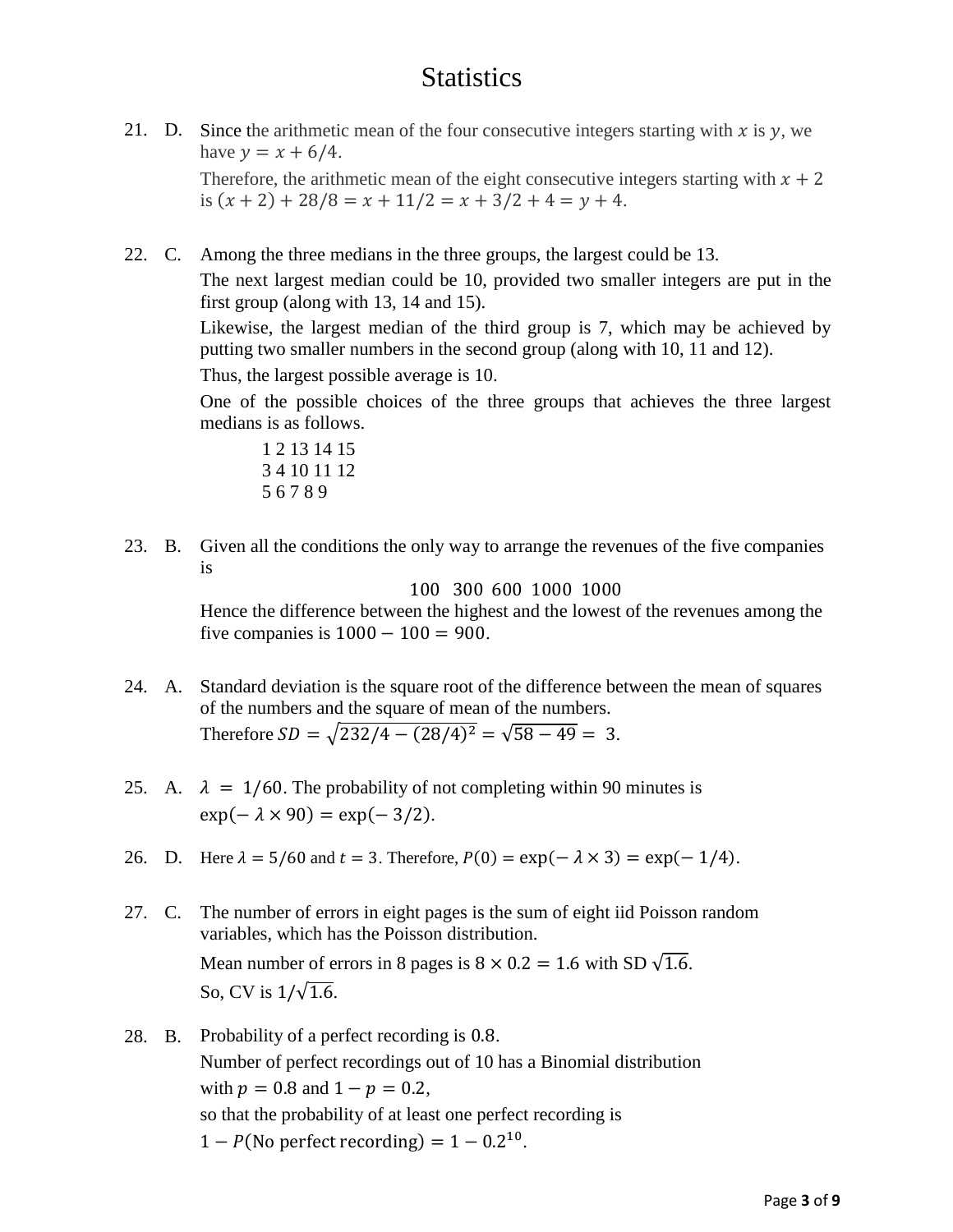## **Statistics**

- 21. D. Since the arithmetic mean of the four consecutive integers starting with x is  $\gamma$ , we have  $y = x + 6/4$ . Therefore, the arithmetic mean of the eight consecutive integers starting with  $x + 2$ is  $(x + 2) + 28/8 = x + 11/2 = x + 3/2 + 4 = y + 4$ .
- 22. C. Among the three medians in the three groups, the largest could be 13.

The next largest median could be 10, provided two smaller integers are put in the first group (along with 13, 14 and 15).

Likewise, the largest median of the third group is 7, which may be achieved by putting two smaller numbers in the second group (along with 10, 11 and 12).

Thus, the largest possible average is 10.

One of the possible choices of the three groups that achieves the three largest medians is as follows.

1 2 13 14 15 3 4 10 11 12 5 6 7 8 9

23. B. Given all the conditions the only way to arrange the revenues of the five companies is

100 300 600 1000 1000

Hence the difference between the highest and the lowest of the revenues among the five companies is  $1000 - 100 = 900$ .

- 24. A. Standard deviation is the square root of the difference between the mean of squares of the numbers and the square of mean of the numbers. Therefore  $SD = \sqrt{232/4 - (28/4)^2} = \sqrt{58 - 49} = 3$ .
- 25. A.  $\lambda = 1/60$ . The probability of not completing within 90 minutes is  $\exp(-\lambda \times 90) = \exp(-3/2)$ .
- 26. D. Here  $\lambda = 5/60$  and  $t = 3$ . Therefore,  $P(0) = \exp(-\lambda \times 3) = \exp(-1/4)$ .
- 27. C. The number of errors in eight pages is the sum of eight iid Poisson random variables, which has the Poisson distribution. Mean number of errors in 8 pages is  $8 \times 0.2 = 1.6$  with SD  $\sqrt{1.6}$ . So, CV is  $1/\sqrt{1.6}$ .
- 28. B. Probability of a perfect recording is 0.8. Number of perfect recordings out of 10 has a Binomial distribution with  $p = 0.8$  and  $1 - p = 0.2$ , so that the probability of at least one perfect recording is  $1 - P$ (No perfect recording) =  $1 - 0.2^{10}$ .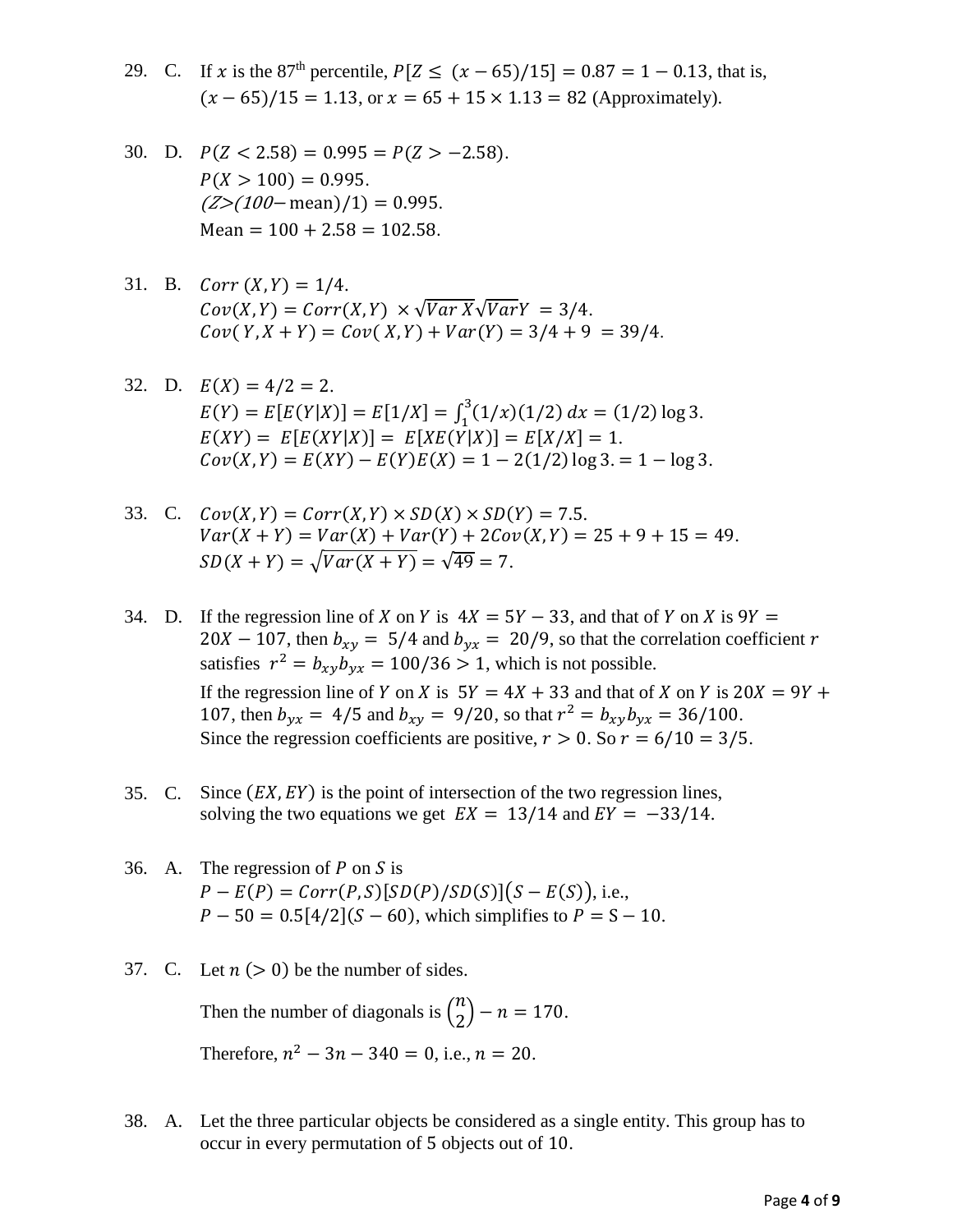- 29. C. If x is the 87<sup>th</sup> percentile,  $P[Z \le (x 65)/15] = 0.87 = 1 0.13$ , that is,  $(x - 65)/15 = 1.13$ , or  $x = 65 + 15 \times 1.13 = 82$  (Approximately).
- 30. D.  $P(Z < 2.58) = 0.995 = P(Z > -2.58)$ .  $P(X > 100) = 0.995$ .  $(Z>(100 - \text{mean})/1) = 0.995$ .  $Mean = 100 + 2.58 = 102.58.$
- 31. B.  $Corr(X, Y) = 1/4$ .  $Cov(X, Y) = Corr(X, Y) \times \sqrt{Var X} \sqrt{Var Y} = 3/4.$  $Cov(Y, X + Y) = Cov(X, Y) + Var(Y) = 3/4 + 9 = 39/4.$
- 32. D.  $E(X) = 4/2 = 2$ .  $E(Y) = E[E(Y|X)] = E[1/X] = \int_1^3 (1/x)(1/2) dx = (1/2) \log 3.$  $E(XY) = E[E(XY|X)] = E[XE(Y|X)] = E[X/X] = 1.$  $Cov(X, Y) = E(XY) - E(Y)E(X) = 1 - 2(1/2) \log 3 = 1 - \log 3.$
- 33. C.  $Cov(X, Y) = Corr(X, Y) \times SD(X) \times SD(Y) = 7.5$ .  $Var(X + Y) = Var(X) + Var(Y) + 2Cov(X, Y) = 25 + 9 + 15 = 49.$  $SD(X + Y) = \sqrt{Var(X + Y)} = \sqrt{49} = 7.$
- 34. D. If the regression line of X on Y is  $4X = 5Y 33$ , and that of Y on X is  $9Y =$ 20  $X - 107$ , then  $b_{xy} = 5/4$  and  $b_{yx} = 20/9$ , so that the correlation coefficient r satisfies  $r^2 = b_{xy}b_{yx} = 100/36 > 1$ , which is not possible. If the regression line of Y on X is  $5Y = 4X + 33$  and that of X on Y is  $20X = 9Y +$ 107, then  $b_{yx} = 4/5$  and  $b_{xy} = 9/20$ , so that  $r^2 = b_{xy}b_{yx} = 36/100$ . Since the regression coefficients are positive,  $r > 0$ . So  $r = 6/10 = 3/5$ .
- 35. C. Since  $(EX, EY)$  is the point of intersection of the two regression lines, solving the two equations we get  $EX = 13/14$  and  $EY = -33/14$ .
- 36. A. The regression of  $P$  on  $S$  is  $P - E(P) = Corr(P, S)[SD(P)/SD(S)](S - E(S)),$  i.e.,  $P - 50 = 0.5[4/2](S - 60)$ , which simplifies to  $P = S - 10$ .
- 37. C. Let  $n (> 0)$  be the number of sides.

Then the number of diagonals is  $\binom{n}{2}$  $\binom{n}{2}$  – n = 170. Therefore,  $n^2 - 3n - 340 = 0$ , i.e.,  $n = 20$ .

38. A. Let the three particular objects be considered as a single entity. This group has to occur in every permutation of 5 objects out of 10.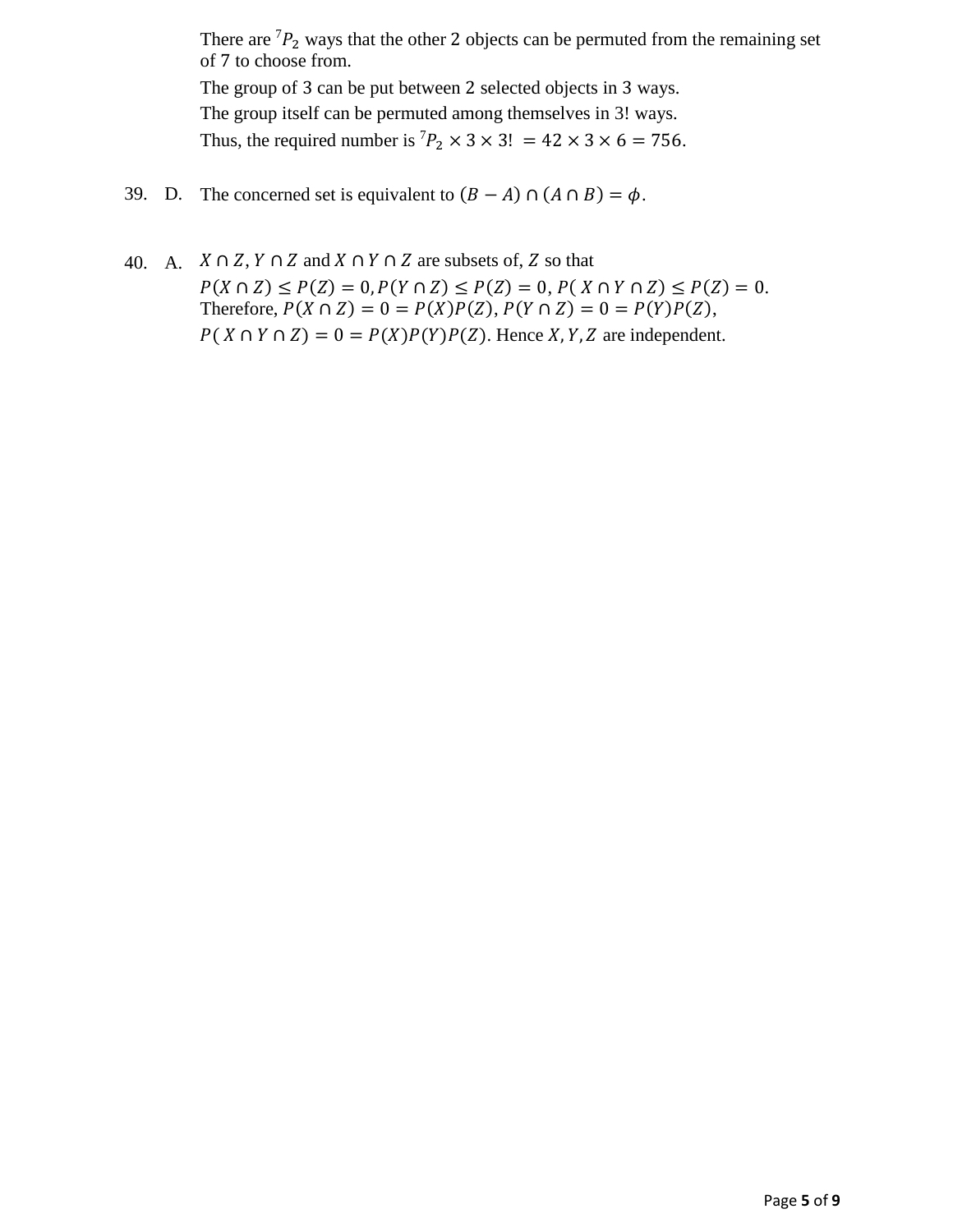There are  ${}^{7}P_{2}$  ways that the other 2 objects can be permuted from the remaining set of 7 to choose from. The group of 3 can be put between 2 selected objects in 3 ways. The group itself can be permuted among themselves in 3! ways. Thus, the required number is  ${}^{7}P_2 \times 3 \times 3! = 42 \times 3 \times 6 = 756$ .

- 39. D. The concerned set is equivalent to  $(B A) \cap (A \cap B) = \phi$ .
- 40. A.  $X \cap Z$ ,  $Y \cap Z$  and  $X \cap Y \cap Z$  are subsets of, Z so that  $P(X \cap Z) \leq P(Z) = 0, P(Y \cap Z) \leq P(Z) = 0, P(X \cap Y \cap Z) \leq P(Z) = 0.$ Therefore,  $P(X \cap Z) = 0 = P(X)P(Z)$ ,  $P(Y \cap Z) = 0 = P(Y)P(Z)$ ,  $P(X \cap Y \cap Z) = 0 = P(X)P(Y)P(Z)$ . Hence X, Y, Z are independent.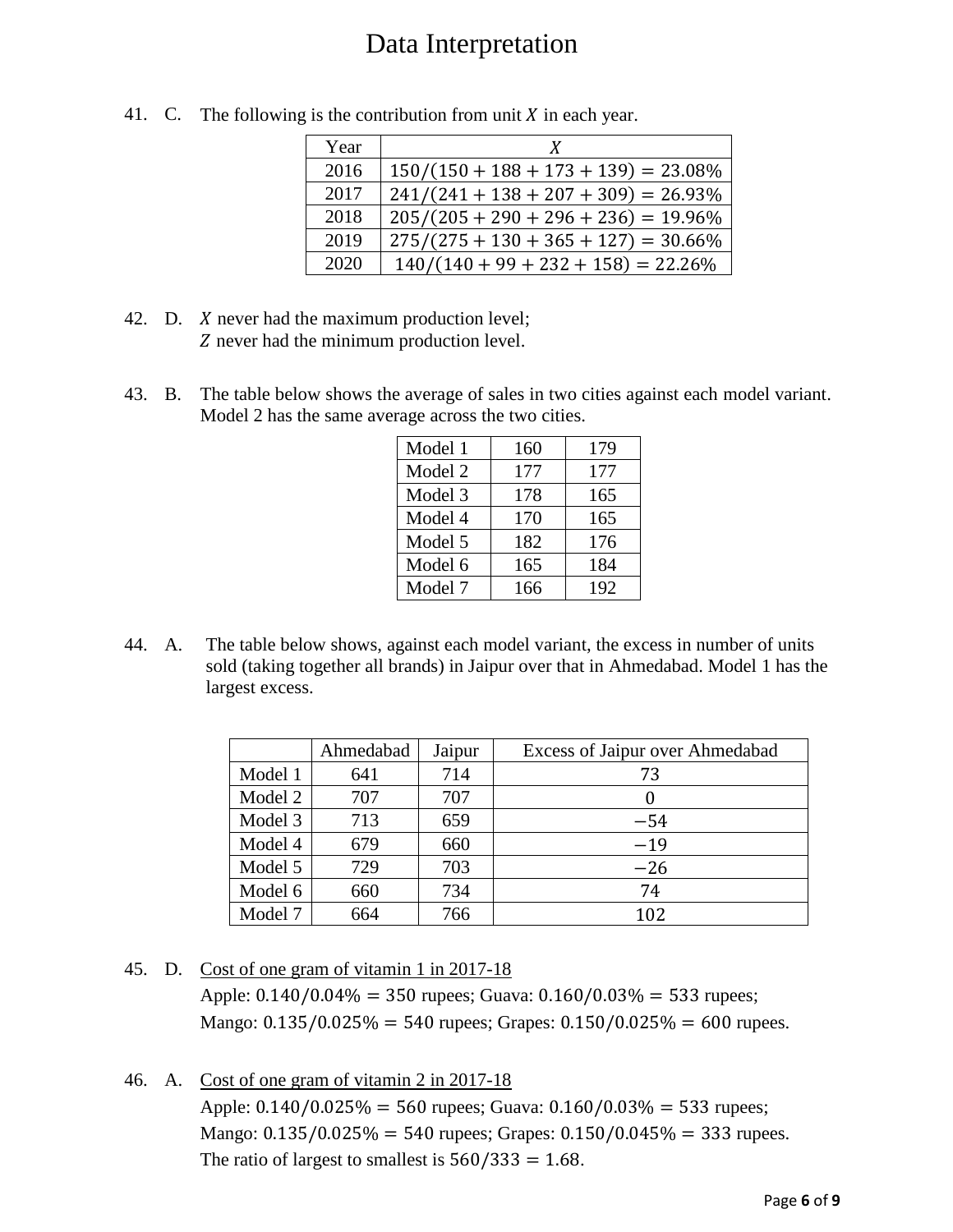## Data Interpretation

| Year | X                                       |
|------|-----------------------------------------|
| 2016 | $150/(150 + 188 + 173 + 139) = 23.08\%$ |
| 2017 | $241/(241 + 138 + 207 + 309) = 26.93\%$ |
| 2018 | $205/(205 + 290 + 296 + 236) = 19.96\%$ |
| 2019 | $275/(275 + 130 + 365 + 127) = 30.66\%$ |
| 2020 | $140/(140+99+232+158) = 22.26\%$        |

41. C. The following is the contribution from unit  $X$  in each year.

- 42. D. *X* never had the maximum production level; Z never had the minimum production level.
- 43. B. The table below shows the average of sales in two cities against each model variant. Model 2 has the same average across the two cities.

| Model 1 | 160 | 179 |
|---------|-----|-----|
| Model 2 | 177 | 177 |
| Model 3 | 178 | 165 |
| Model 4 | 170 | 165 |
| Model 5 | 182 | 176 |
| Model 6 | 165 | 184 |
| Model 7 | 166 | 192 |

44. A. The table below shows, against each model variant, the excess in number of units sold (taking together all brands) in Jaipur over that in Ahmedabad. Model 1 has the largest excess.

|         | Ahmedabad | Jaipur | Excess of Jaipur over Ahmedabad |
|---------|-----------|--------|---------------------------------|
| Model 1 | 641       | 714    | 73                              |
| Model 2 | 707       | 707    |                                 |
| Model 3 | 713       | 659    | $-54$                           |
| Model 4 | 679       | 660    | $-19$                           |
| Model 5 | 729       | 703    | $-26$                           |
| Model 6 | 660       | 734    | 74                              |
| Model 7 | 664       | 766    | 102                             |

45. D. Cost of one gram of vitamin 1 in 2017-18 Apple: 0.140/0.04% = 350 rupees; Guava: 0.160/0.03% = 533 rupees; Mango:  $0.135/0.025\% = 540$  rupees; Grapes:  $0.150/0.025\% = 600$  rupees.

46. A. Cost of one gram of vitamin 2 in 2017-18 Apple:  $0.140/0.025\% = 560$  rupees; Guava:  $0.160/0.03\% = 533$  rupees; Mango:  $0.135/0.025\% = 540$  rupees; Grapes:  $0.150/0.045\% = 333$  rupees. The ratio of largest to smallest is  $560/333 = 1.68$ .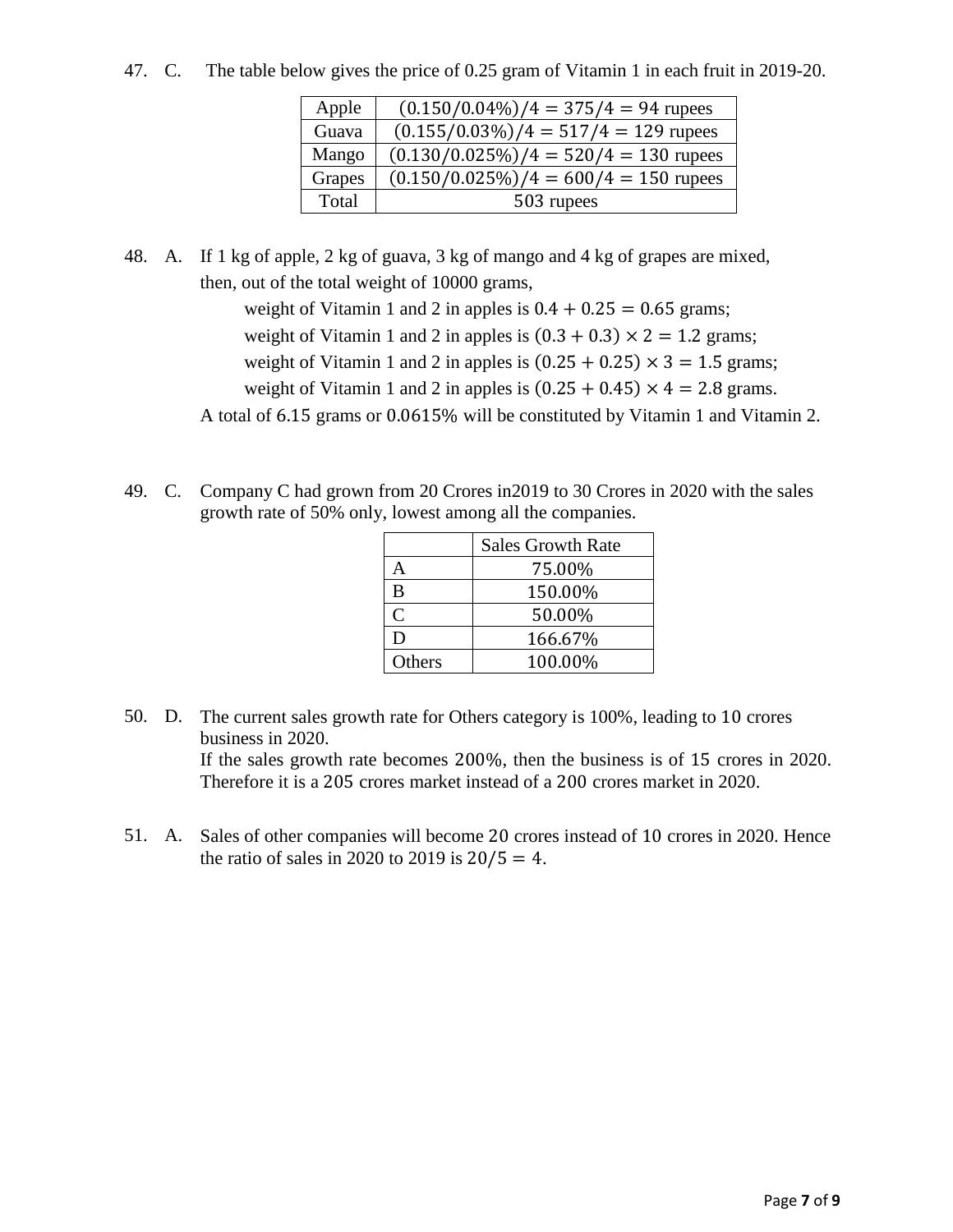47. C. The table below gives the price of 0.25 gram of Vitamin 1 in each fruit in 2019-20.

| Apple  | $(0.150/0.04\%)/4 = 375/4 = 94$ rupees   |
|--------|------------------------------------------|
| Guava  | $(0.155/0.03\%)/4 = 517/4 = 129$ rupees  |
| Mango  | $(0.130/0.025\%)/4 = 520/4 = 130$ rupees |
| Grapes | $(0.150/0.025\%)/4 = 600/4 = 150$ rupees |
| Total  | 503 rupees                               |

48. A. If 1 kg of apple, 2 kg of guava, 3 kg of mango and 4 kg of grapes are mixed, then, out of the total weight of 10000 grams,

> weight of Vitamin 1 and 2 in apples is  $0.4 + 0.25 = 0.65$  grams; weight of Vitamin 1 and 2 in apples is  $(0.3 + 0.3) \times 2 = 1.2$  grams; weight of Vitamin 1 and 2 in apples is  $(0.25 + 0.25) \times 3 = 1.5$  grams; weight of Vitamin 1 and 2 in apples is  $(0.25 + 0.45) \times 4 = 2.8$  grams.

A total of 6.15 grams or 0.0615% will be constituted by Vitamin 1 and Vitamin 2.

49. C. Company C had grown from 20 Crores in2019 to 30 Crores in 2020 with the sales growth rate of 50% only, lowest among all the companies.

|              | <b>Sales Growth Rate</b> |
|--------------|--------------------------|
|              | 75.00%                   |
| в            | 150.00%                  |
| $\mathsf{C}$ | 50.00%                   |
| D            | 166.67%                  |
| Others       | 100.00%                  |

- 50. D. The current sales growth rate for Others category is 100%, leading to 10 crores business in 2020. If the sales growth rate becomes 200%, then the business is of 15 crores in 2020. Therefore it is a 205 crores market instead of a 200 crores market in 2020.
- 51. A. Sales of other companies will become 20 crores instead of 10 crores in 2020. Hence the ratio of sales in 2020 to 2019 is  $20/5 = 4$ .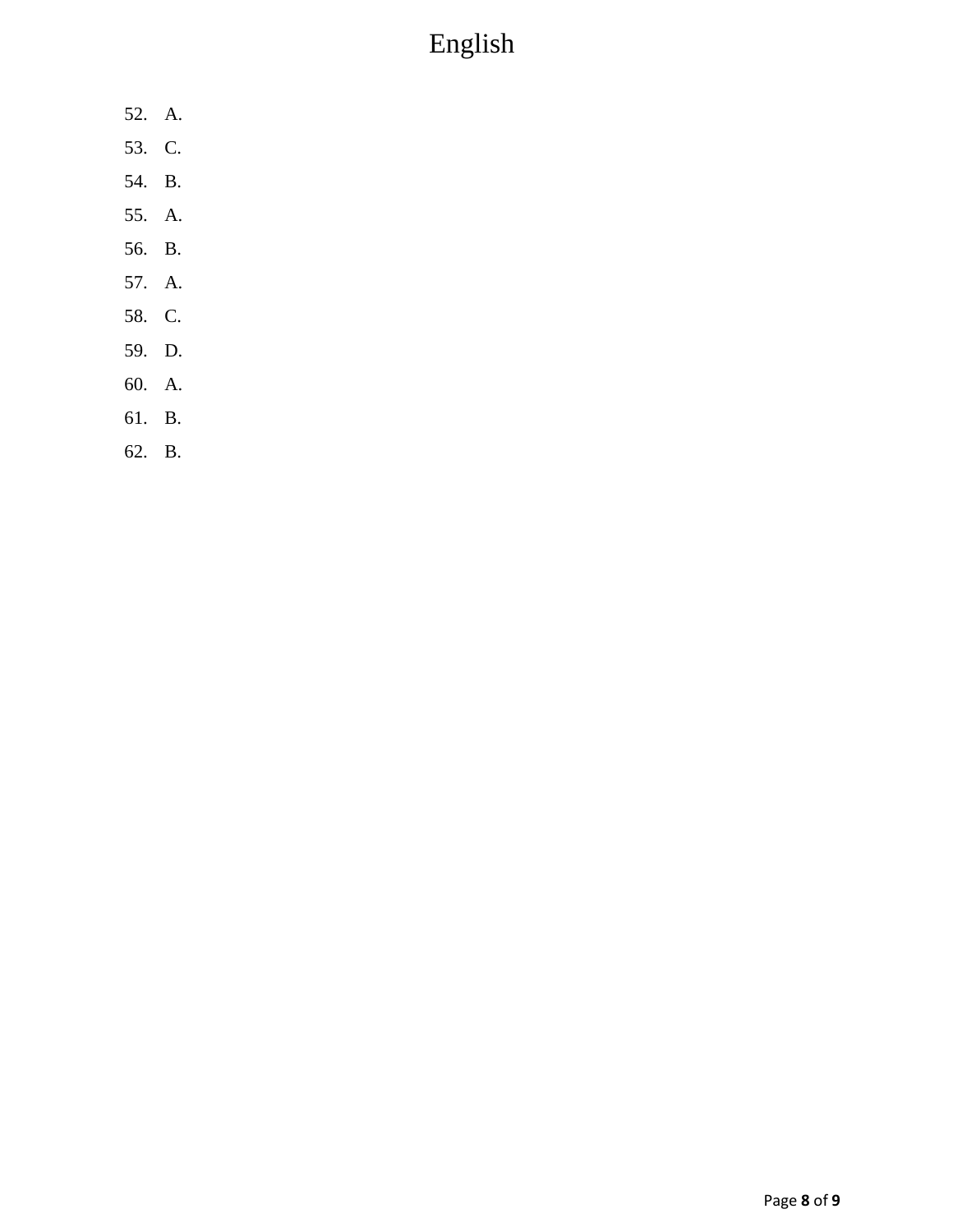## English

- 52. A.
- 53. C.
- 54. B.
- 55. A.
- 56. B.
- 57. A.
- 58. C.
- 59. D.
- 60. A.
- 61. B.
- 62. B.